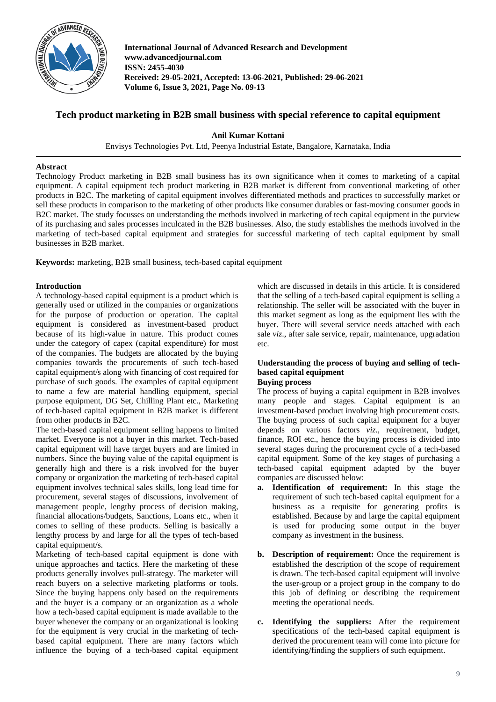

**International Journal of Advanced Research and Development www.advancedjournal.com ISSN: 2455-4030 Received: 29-05-2021, Accepted: 13-06-2021, Published: 29-06-2021 Volume 6, Issue 3, 2021, Page No. 09-13**

# **Tech product marketing in B2B small business with special reference to capital equipment**

**Anil Kumar Kottani**

Envisys Technologies Pvt. Ltd, Peenya Industrial Estate, Bangalore, Karnataka, India

#### **Abstract**

Technology Product marketing in B2B small business has its own significance when it comes to marketing of a capital equipment. A capital equipment tech product marketing in B2B market is different from conventional marketing of other products in B2C. The marketing of capital equipment involves differentiated methods and practices to successfully market or sell these products in comparison to the marketing of other products like consumer durables or fast-moving consumer goods in B2C market. The study focusses on understanding the methods involved in marketing of tech capital equipment in the purview of its purchasing and sales processes inculcated in the B2B businesses. Also, the study establishes the methods involved in the marketing of tech-based capital equipment and strategies for successful marketing of tech capital equipment by small businesses in B2B market.

**Keywords:** marketing, B2B small business, tech-based capital equipment

#### **Introduction**

A technology-based capital equipment is a product which is generally used or utilized in the companies or organizations for the purpose of production or operation. The capital equipment is considered as investment-based product because of its high-value in nature. This product comes under the category of capex (capital expenditure) for most of the companies. The budgets are allocated by the buying companies towards the procurements of such tech-based capital equipment/s along with financing of cost required for purchase of such goods. The examples of capital equipment to name a few are material handling equipment, special purpose equipment, DG Set, Chilling Plant etc., Marketing of tech-based capital equipment in B2B market is different from other products in B2C.

The tech-based capital equipment selling happens to limited market. Everyone is not a buyer in this market. Tech-based capital equipment will have target buyers and are limited in numbers. Since the buying value of the capital equipment is generally high and there is a risk involved for the buyer company or organization the marketing of tech-based capital equipment involves technical sales skills, long lead time for procurement, several stages of discussions, involvement of management people, lengthy process of decision making, financial allocations/budgets, Sanctions, Loans etc., when it comes to selling of these products. Selling is basically a lengthy process by and large for all the types of tech-based capital equipment/s.

Marketing of tech-based capital equipment is done with unique approaches and tactics. Here the marketing of these products generally involves pull-strategy. The marketer will reach buyers on a selective marketing platforms or tools. Since the buying happens only based on the requirements and the buyer is a company or an organization as a whole how a tech-based capital equipment is made available to the buyer whenever the company or an organizational is looking for the equipment is very crucial in the marketing of techbased capital equipment. There are many factors which influence the buying of a tech-based capital equipment

which are discussed in details in this article. It is considered that the selling of a tech-based capital equipment is selling a relationship. The seller will be associated with the buyer in this market segment as long as the equipment lies with the buyer. There will several service needs attached with each sale *viz*., after sale service, repair, maintenance, upgradation etc.

# **Understanding the process of buying and selling of techbased capital equipment**

## **Buying process**

The process of buying a capital equipment in B2B involves many people and stages. Capital equipment is an investment-based product involving high procurement costs. The buying process of such capital equipment for a buyer depends on various factors *viz*., requirement, budget, finance, ROI etc., hence the buying process is divided into several stages during the procurement cycle of a tech-based capital equipment. Some of the key stages of purchasing a tech-based capital equipment adapted by the buyer companies are discussed below:

- **a. Identification of requirement:** In this stage the requirement of such tech-based capital equipment for a business as a requisite for generating profits is established. Because by and large the capital equipment is used for producing some output in the buyer company as investment in the business.
- **b. Description of requirement:** Once the requirement is established the description of the scope of requirement is drawn. The tech-based capital equipment will involve the user-group or a project group in the company to do this job of defining or describing the requirement meeting the operational needs.
- **c. Identifying the suppliers:** After the requirement specifications of the tech-based capital equipment is derived the procurement team will come into picture for identifying/finding the suppliers of such equipment.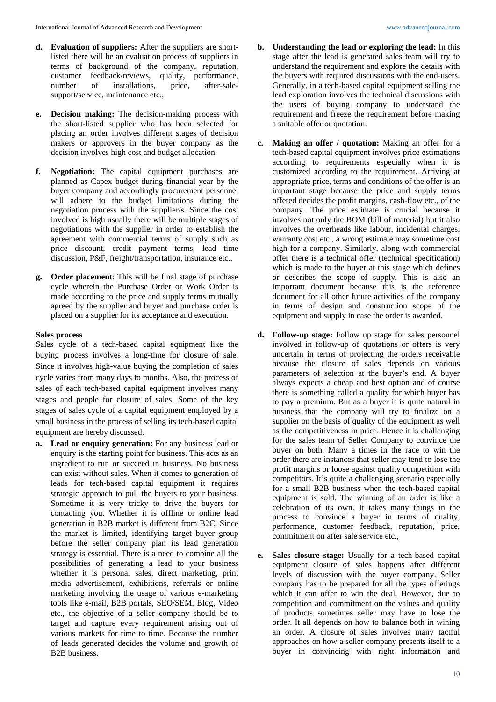- **e. Decision making:** The decision-making process with the short-listed supplier who has been selected for placing an order involves different stages of decision makers or approvers in the buyer company as the decision involves high cost and budget allocation.
- **f. Negotiation:** The capital equipment purchases are planned as Capex budget during financial year by the buyer company and accordingly procurement personnel will adhere to the budget limitations during the negotiation process with the supplier/s. Since the cost involved is high usually there will be multiple stages of negotiations with the supplier in order to establish the agreement with commercial terms of supply such as price discount, credit payment terms, lead time discussion, P&F, freight/transportation, insurance etc.,
- **g. Order placement**: This will be final stage of purchase cycle wherein the Purchase Order or Work Order is made according to the price and supply terms mutually agreed by the supplier and buyer and purchase order is placed on a supplier for its acceptance and execution.

#### **Sales process**

Sales cycle of a tech-based capital equipment like the buying process involves a long-time for closure of sale. Since it involves high-value buying the completion of sales cycle varies from many days to months. Also, the process of sales of each tech-based capital equipment involves many stages and people for closure of sales. Some of the key stages of sales cycle of a capital equipment employed by a small business in the process of selling its tech-based capital equipment are hereby discussed.

**a. Lead or enquiry generation:** For any business lead or enquiry is the starting point for business. This acts as an ingredient to run or succeed in business. No business can exist without sales. When it comes to generation of leads for tech-based capital equipment it requires strategic approach to pull the buyers to your business. Sometime it is very tricky to drive the buyers for contacting you. Whether it is offline or online lead generation in B2B market is different from B2C. Since the market is limited, identifying target buyer group before the seller company plan its lead generation strategy is essential. There is a need to combine all the possibilities of generating a lead to your business whether it is personal sales, direct marketing, print media advertisement, exhibitions, referrals or online marketing involving the usage of various e-marketing tools like e-mail, B2B portals, SEO/SEM, Blog, Video etc., the objective of a seller company should be to target and capture every requirement arising out of various markets for time to time. Because the number of leads generated decides the volume and growth of B2B business.

- **b. Understanding the lead or exploring the lead:** In this stage after the lead is generated sales team will try to understand the requirement and explore the details with the buyers with required discussions with the end-users. Generally, in a tech-based capital equipment selling the lead exploration involves the technical discussions with the users of buying company to understand the requirement and freeze the requirement before making a suitable offer or quotation.
- **c. Making an offer / quotation:** Making an offer for a tech-based capital equipment involves price estimations according to requirements especially when it is customized according to the requirement. Arriving at appropriate price, terms and conditions of the offer is an important stage because the price and supply terms offered decides the profit margins, cash-flow etc., of the company. The price estimate is crucial because it involves not only the BOM (bill of material) but it also involves the overheads like labour, incidental charges, warranty cost etc., a wrong estimate may sometime cost high for a company. Similarly, along with commercial offer there is a technical offer (technical specification) which is made to the buyer at this stage which defines or describes the scope of supply. This is also an important document because this is the reference document for all other future activities of the company in terms of design and construction scope of the equipment and supply in case the order is awarded.
- **d. Follow-up stage:** Follow up stage for sales personnel involved in follow-up of quotations or offers is very uncertain in terms of projecting the orders receivable because the closure of sales depends on various parameters of selection at the buyer's end. A buyer always expects a cheap and best option and of course there is something called a quality for which buyer has to pay a premium. But as a buyer it is quite natural in business that the company will try to finalize on a supplier on the basis of quality of the equipment as well as the competitiveness in price. Hence it is challenging for the sales team of Seller Company to convince the buyer on both. Many a times in the race to win the order there are instances that seller may tend to lose the profit margins or loose against quality competition with competitors. It's quite a challenging scenario especially for a small B2B business when the tech-based capital equipment is sold. The winning of an order is like a celebration of its own. It takes many things in the process to convince a buyer in terms of quality, performance, customer feedback, reputation, price, commitment on after sale service etc.,
- **e. Sales closure stage:** Usually for a tech-based capital equipment closure of sales happens after different levels of discussion with the buyer company. Seller company has to be prepared for all the types offerings which it can offer to win the deal. However, due to competition and commitment on the values and quality of products sometimes seller may have to lose the order. It all depends on how to balance both in wining an order. A closure of sales involves many tactful approaches on how a seller company presents itself to a buyer in convincing with right information and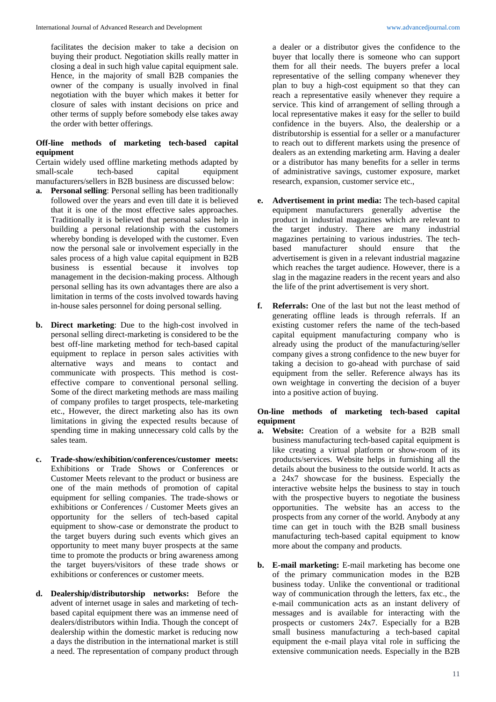facilitates the decision maker to take a decision on buying their product. Negotiation skills really matter in closing a deal in such high value capital equipment sale. Hence, in the majority of small B2B companies the owner of the company is usually involved in final negotiation with the buyer which makes it better for closure of sales with instant decisions on price and other terms of supply before somebody else takes away the order with better offerings.

## **Off-line methods of marketing tech-based capital equipment**

Certain widely used offline marketing methods adapted by small-scale tech-based capital equipment small-scale tech-based capital equipment manufacturers/sellers in B2B business are discussed below:

- **a. Personal selling**: Personal selling has been traditionally followed over the years and even till date it is believed that it is one of the most effective sales approaches. Traditionally it is believed that personal sales help in building a personal relationship with the customers whereby bonding is developed with the customer. Even now the personal sale or involvement especially in the sales process of a high value capital equipment in B2B business is essential because it involves top management in the decision-making process. Although personal selling has its own advantages there are also a limitation in terms of the costs involved towards having in-house sales personnel for doing personal selling.
- **b. Direct marketing**: Due to the high-cost involved in personal selling direct-marketing is considered to be the best off-line marketing method for tech-based capital equipment to replace in person sales activities with alternative ways and means to contact and communicate with prospects. This method is costeffective compare to conventional personal selling. Some of the direct marketing methods are mass mailing of company profiles to target prospects, tele-marketing etc., However, the direct marketing also has its own limitations in giving the expected results because of spending time in making unnecessary cold calls by the sales team.
- **c. Trade-show/exhibition/conferences/customer meets:** Exhibitions or Trade Shows or Conferences or Customer Meets relevant to the product or business are one of the main methods of promotion of capital equipment for selling companies. The trade-shows or exhibitions or Conferences / Customer Meets gives an opportunity for the sellers of tech-based capital equipment to show-case or demonstrate the product to the target buyers during such events which gives an opportunity to meet many buyer prospects at the same time to promote the products or bring awareness among the target buyers/visitors of these trade shows or exhibitions or conferences or customer meets.
- **d. Dealership/distributorship networks:** Before the advent of internet usage in sales and marketing of techbased capital equipment there was an immense need of dealers/distributors within India. Though the concept of dealership within the domestic market is reducing now a days the distribution in the international market is still a need. The representation of company product through

a dealer or a distributor gives the confidence to the buyer that locally there is someone who can support them for all their needs. The buyers prefer a local representative of the selling company whenever they plan to buy a high-cost equipment so that they can reach a representative easily whenever they require a service. This kind of arrangement of selling through a local representative makes it easy for the seller to build confidence in the buyers. Also, the dealership or a distributorship is essential for a seller or a manufacturer to reach out to different markets using the presence of dealers as an extending marketing arm. Having a dealer or a distributor has many benefits for a seller in terms of administrative savings, customer exposure, market research, expansion, customer service etc.,

- **e. Advertisement in print media:** The tech-based capital equipment manufacturers generally advertise the product in industrial magazines which are relevant to the target industry. There are many industrial magazines pertaining to various industries. The techbased manufacturer should ensure that the advertisement is given in a relevant industrial magazine which reaches the target audience. However, there is a slag in the magazine readers in the recent years and also the life of the print advertisement is very short.
- **f. Referrals:** One of the last but not the least method of generating offline leads is through referrals. If an existing customer refers the name of the tech-based capital equipment manufacturing company who is already using the product of the manufacturing/seller company gives a strong confidence to the new buyer for taking a decision to go-ahead with purchase of said equipment from the seller. Reference always has its own weightage in converting the decision of a buyer into a positive action of buying.

## **On-line methods of marketing tech-based capital equipment**

- **a. Website:** Creation of a website for a B2B small business manufacturing tech-based capital equipment is like creating a virtual platform or show-room of its products/services. Website helps in furnishing all the details about the business to the outside world. It acts as a 24x7 showcase for the business. Especially the interactive website helps the business to stay in touch with the prospective buyers to negotiate the business opportunities. The website has an access to the prospects from any corner of the world. Anybody at any time can get in touch with the B2B small business manufacturing tech-based capital equipment to know more about the company and products.
- **b. E-mail marketing:** E-mail marketing has become one of the primary communication modes in the B2B business today. Unlike the conventional or traditional way of communication through the letters, fax etc., the e-mail communication acts as an instant delivery of messages and is available for interacting with the prospects or customers 24x7. Especially for a B2B small business manufacturing a tech-based capital equipment the e-mail playa vital role in sufficing the extensive communication needs. Especially in the B2B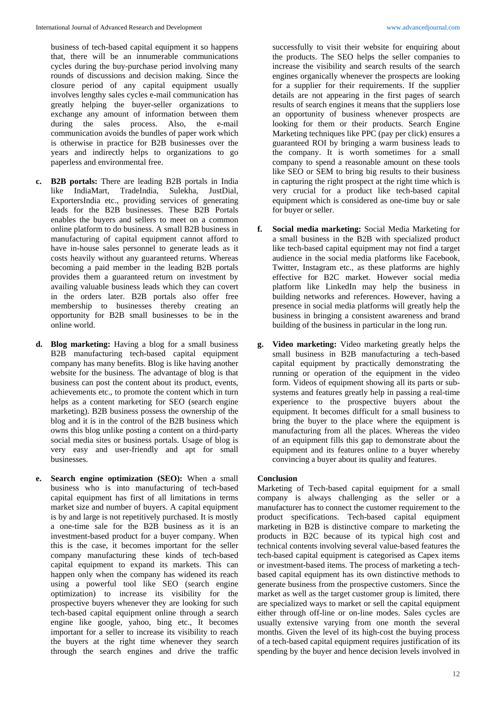business of tech-based capital equipment it so happens that, there will be an innumerable communications cycles during the buy-purchase period involving many rounds of discussions and decision making. Since the closure period of any capital equipment usually involves lengthy sales cycles e-mail communication has greatly helping the buyer-seller organizations to exchange any amount of information between them during the sales process. Also, the e-mail communication avoids the bundles of paper work which is otherwise in practice for B2B businesses over the years and indirectly helps to organizations to go paperless and environmental free.

- **c. B2B portals:** There are leading B2B portals in India like IndiaMart, TradeIndia, Sulekha, JustDial, ExportersIndia etc., providing services of generating leads for the B2B businesses. These B2B Portals enables the buyers and sellers to meet on a common online platform to do business. A small B2B business in manufacturing of capital equipment cannot afford to have in-house sales personnel to generate leads as it costs heavily without any guaranteed returns. Whereas becoming a paid member in the leading B2B portals provides them a guaranteed return on investment by availing valuable business leads which they can covert in the orders later. B2B portals also offer free membership to businesses thereby creating an opportunity for B2B small businesses to be in the online world.
- **d. Blog marketing:** Having a blog for a small business B2B manufacturing tech-based capital equipment company has many benefits. Blog is like having another website for the business. The advantage of blog is that business can post the content about its product, events, achievements etc., to promote the content which in turn helps as a content marketing for SEO (search engine marketing). B2B business possess the ownership of the blog and it is in the control of the B2B business which owns this blog unlike posting a content on a third-party social media sites or business portals. Usage of blog is very easy and user-friendly and apt for small businesses.
- **e. Search engine optimization (SEO):** When a small business who is into manufacturing of tech-based capital equipment has first of all limitations in terms market size and number of buyers. A capital equipment is by and large is not repetitively purchased. It is mostly a one-time sale for the B2B business as it is an investment-based product for a buyer company. When this is the case, it becomes important for the seller company manufacturing these kinds of tech-based capital equipment to expand its markets. This can happen only when the company has widened its reach using a powerful tool like SEO (search engine optimization) to increase its visibility for the prospective buyers whenever they are looking for such tech-based capital equipment online through a search engine like google, yahoo, bing etc., It becomes important for a seller to increase its visibility to reach the buyers at the right time whenever they search through the search engines and drive the traffic

successfully to visit their website for enquiring about the products. The SEO helps the seller companies to increase the visibility and search results of the search engines organically whenever the prospects are looking for a supplier for their requirements. If the supplier details are not appearing in the first pages of search results of search engines it means that the suppliers lose an opportunity of business whenever prospects are looking for them or their products. Search Engine Marketing techniques like PPC (pay per click) ensures a guaranteed ROI by bringing a warm business leads to the company. It is worth sometimes for a small company to spend a reasonable amount on these tools like SEO or SEM to bring big results to their business in capturing the right prospect at the right time which is very crucial for a product like tech-based capital equipment which is considered as one-time buy or sale for buyer or seller.

- **f. Social media marketing:** Social Media Marketing for a small business in the B2B with specialized product like tech-based capital equipment may not find a target audience in the social media platforms like Facebook, Twitter, Instagram etc., as these platforms are highly effective for B2C market. However social media platform like LinkedIn may help the business in building networks and references. However, having a presence in social media platforms will greatly help the business in bringing a consistent awareness and brand building of the business in particular in the long run.
- **g. Video marketing:** Video marketing greatly helps the small business in B2B manufacturing a tech-based capital equipment by practically demonstrating the running or operation of the equipment in the video form. Videos of equipment showing all its parts or subsystems and features greatly help in passing a real-time experience to the prospective buyers about the equipment. It becomes difficult for a small business to bring the buyer to the place where the equipment is manufacturing from all the places. Whereas the video of an equipment fills this gap to demonstrate about the equipment and its features online to a buyer whereby convincing a buyer about its quality and features.

## **Conclusion**

Marketing of Tech-based capital equipment for a small company is always challenging as the seller or a manufacturer has to connect the customer requirement to the product specifications. Tech-based capital equipment marketing in B2B is distinctive compare to marketing the products in B2C because of its typical high cost and technical contents involving several value-based features the tech-based capital equipment is categorised as Capex items or investment-based items. The process of marketing a techbased capital equipment has its own distinctive methods to generate business from the prospective customers. Since the market as well as the target customer group is limited, there are specialized ways to market or sell the capital equipment either through off-line or on-line modes. Sales cycles are usually extensive varying from one month the several months. Given the level of its high-cost the buying process of a tech-based capital equipment requires justification of its spending by the buyer and hence decision levels involved in